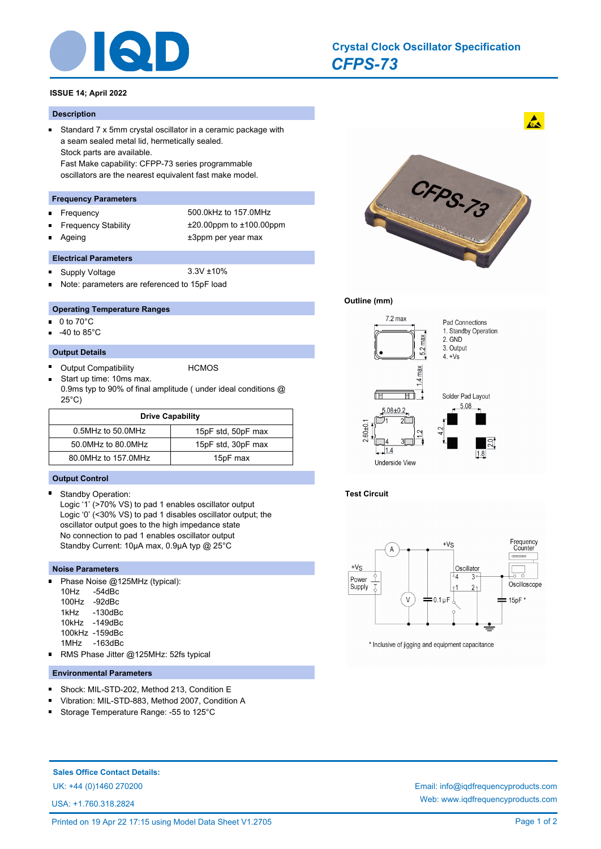

# *CFPS-73* **Crystal Clock Oscillator Specification**

# **ISSUE 14; April 2022**

#### **Description**

 $\blacksquare$ 

Ē

Standard 7 x 5mm crystal oscillator in a ceramic package with a seam sealed metal lid, hermetically sealed. Stock parts are available. Fast Make capability: CFPP-73 series programmable oscillators are the nearest equivalent fast make model.

#### **Frequency Parameters**

- Frequency 500.0kHz to 157.0MHz n.
- -

Frequency Stability ±20.00ppm to ±100.00ppm Ageing the theorem of the three states of the three states  $\pm 3$ ppm per year max

### **Electrical Parameters**

- Supply Voltage 3.3V ±10%  $\blacksquare$
- Note: parameters are referenced to 15pF load

### **Operating Temperature Ranges**

- 0 to 70°C n.
- -40 to 85°C

#### **Output Details**

- E Output Compatibility **HCMOS**
- Start up time: 10ms max. 0.9ms typ to 90% of final amplitude ( under ideal conditions @ 25°C)

| <b>Drive Capability</b> |                    |  |  |  |
|-------------------------|--------------------|--|--|--|
| 0.5MHz to 50.0MHz       | 15pF std, 50pF max |  |  |  |
| 50.0MHz to 80.0MHz      | 15pF std, 30pF max |  |  |  |
| 80.0MHz to 157.0MHz     | 15pF max           |  |  |  |

### **Output Control**

 $\blacksquare$ Standby Operation:

> Logic '1' (>70% VS) to pad 1 enables oscillator output Logic '0' (<30% VS) to pad 1 disables oscillator output; the oscillator output goes to the high impedance state No connection to pad 1 enables oscillator output Standby Current: 10µA max, 0.9µA typ @ 25°C

#### **Noise Parameters**

n. Phase Noise @125MHz (typical): 10Hz -54dBc 100Hz -92dBc 1kHz -130dBc 10kHz -149dBc

- 100kHz -159dBc
- 1MHz -163dBc
- RMS Phase Jitter @125MHz: 52fs typical

# **Environmental Parameters**

- Shock: MIL-STD-202, Method 213, Condition E
- Vibration: MIL-STD-883, Method 2007, Condition A
- Storage Temperature Range: -55 to 125°C п



#### **Outline (mm)**



# **Test Circuit**



\* Inclusive of jigging and equipment capacitance

#### **Sales Office Contact Details:**

UK: +44 (0)1460 270200 Email: info@iqdfrequencyproducts.com

USA: +1.760.318.2824

Web: www.iqdfrequencyproducts.com

 $\mathbf{A}$